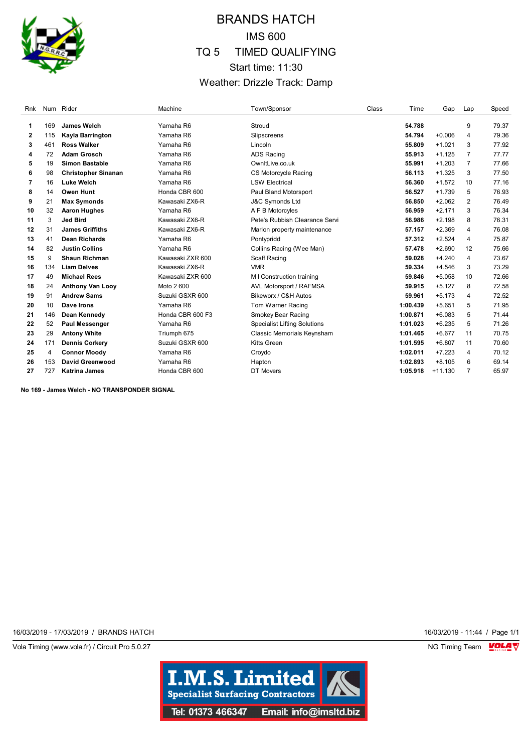

## BRANDS HATCH IMS 600 TQ 5 TIMED QUALIFYING Start time: 11:30 Weather: Drizzle Track: Damp

| Rnk |     | Num Rider                  | Machine          | Town/Sponsor                        | Class | Time     | Gap       | Lap            | Speed |
|-----|-----|----------------------------|------------------|-------------------------------------|-------|----------|-----------|----------------|-------|
| 1   | 169 | James Welch                | Yamaha R6        | Stroud                              |       | 54.788   |           | 9              | 79.37 |
| 2   | 115 | Kayla Barrington           | Yamaha R6        | Slipscreens                         |       | 54.794   | $+0.006$  | $\overline{4}$ | 79.36 |
| 3   | 461 | <b>Ross Walker</b>         | Yamaha R6        | Lincoln                             |       | 55,809   | $+1.021$  | 3              | 77.92 |
| 4   | 72  | <b>Adam Grosch</b>         | Yamaha R6        | <b>ADS Racing</b>                   |       | 55.913   | $+1.125$  | 7              | 77.77 |
| 5   | 19  | <b>Simon Bastable</b>      | Yamaha R6        | OwnItLive.co.uk                     |       | 55.991   | $+1.203$  | $\overline{7}$ | 77.66 |
| 6   | 98  | <b>Christopher Sinanan</b> | Yamaha R6        | <b>CS Motorcycle Racing</b>         |       | 56.113   | $+1.325$  | 3              | 77.50 |
| 7   | 16  | <b>Luke Welch</b>          | Yamaha R6        | <b>LSW Electrical</b>               |       | 56.360   | $+1.572$  | 10             | 77.16 |
| 8   | 14  | <b>Owen Hunt</b>           | Honda CBR 600    | Paul Bland Motorsport               |       | 56.527   | $+1.739$  | 5              | 76.93 |
| 9   | 21  | <b>Max Symonds</b>         | Kawasaki ZX6-R   | <b>J&amp;C Symonds Ltd</b>          |       | 56.850   | $+2.062$  | $\overline{2}$ | 76.49 |
| 10  | 32  | <b>Aaron Hughes</b>        | Yamaha R6        | A F B Motorcyles                    |       | 56.959   | $+2.171$  | 3              | 76.34 |
| 11  | 3   | <b>Jed Bird</b>            | Kawasaki ZX6-R   | Pete's Rubbish Clearance Servi      |       | 56.986   | $+2.198$  | 8              | 76.31 |
| 12  | 31  | <b>James Griffiths</b>     | Kawasaki ZX6-R   | Marlon property maintenance         |       | 57.157   | $+2.369$  | 4              | 76.08 |
| 13  | 41  | <b>Dean Richards</b>       | Yamaha R6        | Pontypridd                          |       | 57.312   | $+2.524$  | 4              | 75.87 |
| 14  | 82  | <b>Justin Collins</b>      | Yamaha R6        | Collins Racing (Wee Man)            |       | 57.478   | $+2.690$  | 12             | 75.66 |
| 15  | 9   | Shaun Richman              | Kawasaki ZXR 600 | Scaff Racing                        |       | 59.028   | $+4.240$  | 4              | 73.67 |
| 16  | 134 | <b>Liam Delves</b>         | Kawasaki ZX6-R   | <b>VMR</b>                          |       | 59.334   | $+4.546$  | 3              | 73.29 |
| 17  | 49  | <b>Michael Rees</b>        | Kawasaki ZXR 600 | M I Construction training           |       | 59.846   | $+5.058$  | 10             | 72.66 |
| 18  | 24  | <b>Anthony Van Looy</b>    | Moto 2 600       | AVL Motorsport / RAFMSA             |       | 59.915   | $+5.127$  | 8              | 72.58 |
| 19  | 91  | <b>Andrew Sams</b>         | Suzuki GSXR 600  | Bikeworx / C&H Autos                |       | 59.961   | $+5.173$  | 4              | 72.52 |
| 20  | 10  | Dave Irons                 | Yamaha R6        | Tom Warner Racing                   |       | 1:00.439 | $+5.651$  | 5              | 71.95 |
| 21  | 146 | Dean Kennedy               | Honda CBR 600 F3 | Smokey Bear Racing                  |       | 1:00.871 | $+6.083$  | 5              | 71.44 |
| 22  | 52  | <b>Paul Messenger</b>      | Yamaha R6        | <b>Specialist Lifting Solutions</b> |       | 1:01.023 | $+6.235$  | 5              | 71.26 |
| 23  | 29  | <b>Antony White</b>        | Triumph 675      | Classic Memorials Keynsham          |       | 1:01.465 | $+6.677$  | 11             | 70.75 |
| 24  | 171 | <b>Dennis Corkery</b>      | Suzuki GSXR 600  | Kitts Green                         |       | 1:01.595 | $+6.807$  | 11             | 70.60 |
| 25  | 4   | <b>Connor Moody</b>        | Yamaha R6        | Croydo                              |       | 1:02.011 | $+7.223$  | 4              | 70.12 |
| 26  | 153 | David Greenwood            | Yamaha R6        | Hapton                              |       | 1:02.893 | $+8.105$  | 6              | 69.14 |
| 27  | 727 | <b>Katrina James</b>       | Honda CBR 600    | DT Movers                           |       | 1:05.918 | $+11.130$ | 7              | 65.97 |

**No 169 - James Welch - NO TRANSPONDER SIGNAL**

16/03/2019 - 17/03/2019 / BRANDS HATCH 16/03/2019 - 11:44 / Page 1/1

Vola Timing (www.vola.fr) / Circuit Pro 5.0.27 **NG Timing Team MOLA View Account Property** NG Timing Team MOLA View

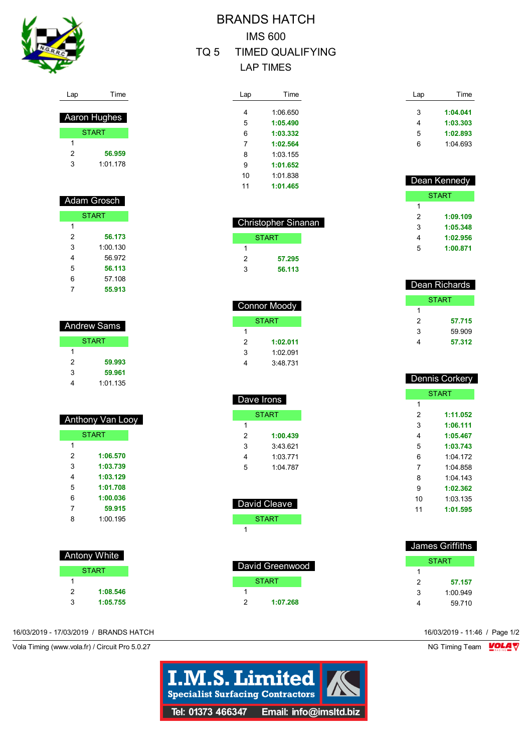

Lap Time

| Aaron Hughes |              |  |
|--------------|--------------|--|
|              | <b>START</b> |  |
|              |              |  |
| 2            | 56.959       |  |
| κ            | 1:01.178     |  |

| Adam Grosch |              |  |
|-------------|--------------|--|
|             | <b>START</b> |  |
| 1           |              |  |
| 2           | 56.173       |  |
| 3           | 1:00.130     |  |
| 4           | 56.972       |  |
| 5           | 56.113       |  |
| 6           | 57.108       |  |
|             | 55.913       |  |

| Andrew Sams |              |  |
|-------------|--------------|--|
|             | <b>START</b> |  |
| 1           |              |  |
| 2           | 59.993       |  |
| 3           | 59.961       |  |
|             | 1:01.135     |  |

| Anthony Van Looy |              |  |
|------------------|--------------|--|
|                  | <b>START</b> |  |
| 1                |              |  |
| 2                | 1:06.570     |  |
| 3                | 1:03.739     |  |
| 4                | 1:03.129     |  |
| 5                | 1:01.708     |  |
| 6                | 1:00.036     |  |
| 7                | 59.915       |  |
| 8                | 1.00195      |  |
|                  |              |  |

|   | Antony White |
|---|--------------|
|   | <b>START</b> |
| 1 |              |
| 2 | 1:08.546     |
| 3 | 1:05.755     |

# BRANDS HATCH IMS 600 TQ 5 TIMED QUALIFYING

LAP TIMES

| Lap | Time     |
|-----|----------|
|     |          |
| 4   | 1:06 650 |
| 5   | 1:05.490 |
| 6   | 1:03.332 |
| 7   | 1:02.564 |
| 8   | 1:03.155 |
| 9   | 1:01.652 |
| 10  | 1:01 838 |
| 11  | 1:01.465 |

| <b>Christopher Sinanan</b> |              |  |
|----------------------------|--------------|--|
|                            | <b>START</b> |  |
|                            |              |  |
| 2                          | 57.295       |  |
| ঽ                          | 56.113       |  |

| <b>Connor Moody</b> |              |  |
|---------------------|--------------|--|
|                     | <b>START</b> |  |
| 1                   |              |  |
| 2                   | 1:02.011     |  |
| 3                   | 1:02.091     |  |
|                     | 3:48.731     |  |

| Dave Irons |          |  |
|------------|----------|--|
| START      |          |  |
| 1          |          |  |
| 2          | 1:00.439 |  |
| 3          | 3:43.621 |  |
| 4          | 1:03.771 |  |
| 5          | 1:04 787 |  |
|            |          |  |

| David Cleave |
|--------------|
| <b>START</b> |
|              |
|              |
|              |

| David Greenwood |              |  |
|-----------------|--------------|--|
|                 | <b>START</b> |  |
|                 |              |  |
| 2               | 1:07.268     |  |

| Lap | Time     |
|-----|----------|
| 3   | 1:04.041 |
| 4   | 1:03.303 |
| 5   | 1:02.893 |
| ี   | 1:04.693 |

| Dean Kennedy |          |
|--------------|----------|
|              | START    |
| 1            |          |
| 2            | 1:09.109 |
| 3            | 1:05.348 |
| 4            | 1:02.956 |
| 5            | 1:00.871 |
|              |          |

| Dean Richards |              |
|---------------|--------------|
|               | <b>START</b> |
| 1             |              |
| 2             | 57.715       |
| 3             | 59.909       |
| 4             | 57.312       |
|               |              |

| <u> Dennis Corkery</u> |              |  |
|------------------------|--------------|--|
|                        | <b>START</b> |  |
| 1                      |              |  |
| 2                      | 1:11.052     |  |
| 3                      | 1:06.111     |  |
| 4                      | 1:05.467     |  |
| 5                      | 1:03.743     |  |
| 6                      | $1.04$ 172   |  |
| 7                      | 1:04 858     |  |
| 8                      | 1:04 143     |  |
| 9                      | 1:02.362     |  |
| 10                     | 1:03.135     |  |
| 11                     | 1:01.595     |  |
|                        |              |  |

| James Griffiths |
|-----------------|
| <b>START</b>    |
|                 |
| 57.157          |
| 1:00.949        |
| 59.710          |
|                 |

16/03/2019 - 17/03/2019 / BRANDS HATCH 16/03/2019 - 11:46 / Page 1/2

Vola Timing (www.vola.fr) / Circuit Pro 5.0.27 NG Timing Team VOLA V

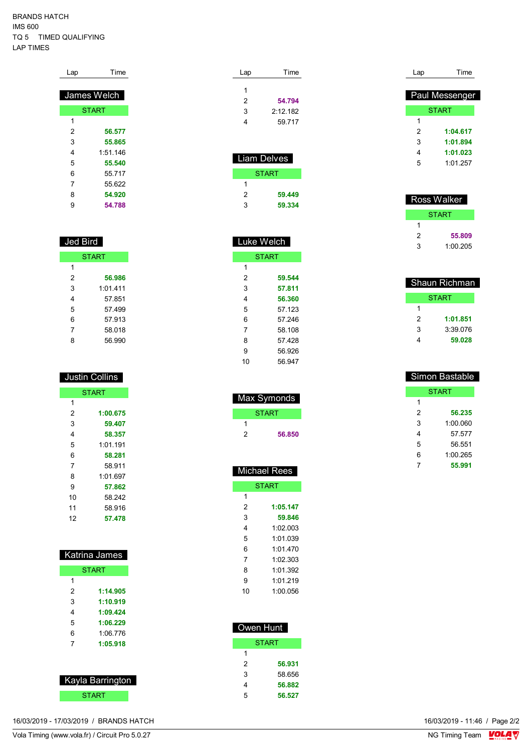#### BRANDS HATCH IMS 600 TQ 5 TIMED QUALIFYING LAP TIMES

| Lap | Гіmе         |
|-----|--------------|
|     | James Welch  |
|     | <b>START</b> |
| 1   |              |
| 2   | 56.577       |
| 3   | 55.865       |
| 4   | 1:51 146     |
| 5   | 55.540       |
| 6   | 55 717       |
| 7   | 55.622       |
| 8   | 54.920       |
| 9   | 54.788       |

## Jed Bird

| <b>START</b> |         |
|--------------|---------|
| 1            |         |
| 2            | 56.986  |
| 3            | 1.01411 |
| 4            | 57.851  |
| 5            | 57499   |
| 6            | 57.913  |
| 7            | 58.018  |
| 8            | 56.990  |

| Justin Collins |
|----------------|
|                |
|                |

|    | <b>START</b> |
|----|--------------|
| 1  |              |
| 2  | 1:00.675     |
| 3  | 59.407       |
| 4  | 58.357       |
| 5  | 1:01.191     |
| 6  | 58.281       |
| 7  | 58.911       |
| 8  | 1.01697      |
| 9  | 57.862       |
| 10 | 58.242       |
| 11 | 58.916       |
| 12 | 57.478       |

| <b>Katrina James</b> |              |
|----------------------|--------------|
|                      | <b>START</b> |
| 1                    |              |
| 2                    | 1:14.905     |
| 3                    | 1:10.919     |
| 4                    | 1:09.424     |
| 5                    | 1:06.229     |
| հ                    | 1:06 776     |
| 7                    | 1:05.918     |

| Kayla Barrington |  |
|------------------|--|
| START            |  |

Lap Time **54.794** 2:12.182 59.717

| <u>Lia</u> m Delves |  |  |
|---------------------|--|--|
| <b>START</b>        |  |  |
|                     |  |  |
| 59.449              |  |  |
| 59.334              |  |  |
|                     |  |  |

| Luke Welch |              |
|------------|--------------|
|            | <b>START</b> |
| 1          |              |
| 2          | 59.544       |
| 3          | 57.811       |
| 4          | 56.360       |
| 5          | 57.123       |
| 6          | 57.246       |
| 7          | 58.108       |
| 8          | 57 428       |
| 9          | 56.926       |
| 10         | 56.947       |

|   | Max Symonds |
|---|-------------|
|   | START       |
|   |             |
| 2 | 56.850      |
|   |             |

|    | <b>Michael Rees</b> |
|----|---------------------|
|    | <b>START</b>        |
| 1  |                     |
| 2  | 1:05.147            |
| 3  | 59.846              |
| 4  | 1:02 003            |
| 5  | 1:01 039            |
| 6  | 1011470             |
| 7  | 1:02.303            |
| 8  | 1:01.392            |
| 9  | 1 01 219            |
| 10 | 1:00 056            |

| Owen Hunt |        |
|-----------|--------|
|           | START  |
| 1         |        |
| 2         | 56.931 |
| 3         | 58.656 |
| 4         | 56.882 |
| 5         | 56.527 |

| Lap | Time           |
|-----|----------------|
|     | Paul Messenger |
|     | <b>START</b>   |
| 1   |                |
| 2   | 1:04.617       |
| 3   | 1:01.894       |
| 4   | 1:01.023       |
| 5   | 1:01 257       |
|     |                |

|   | Ross Walker |
|---|-------------|
|   | START       |
|   |             |
| 2 | 55.809      |
| 3 | 1:00.205    |

|   | Shaun Richman |
|---|---------------|
|   | START         |
| 1 |               |
| 2 | 1:01.851      |
| 3 | 3.39076       |
| 4 | 59.028        |
|   |               |

|   | <b>Simon Bastable</b> |
|---|-----------------------|
|   | <b>START</b>          |
| 1 |                       |
| 2 | 56.235                |
| 3 | 1:00 060              |
| 4 | 57 577                |
| 5 | 56 551                |
| 6 | 1:00.265              |
| 7 | 55.991                |
|   |                       |

16/03/2019 - 17/03/2019 / BRANDS HATCH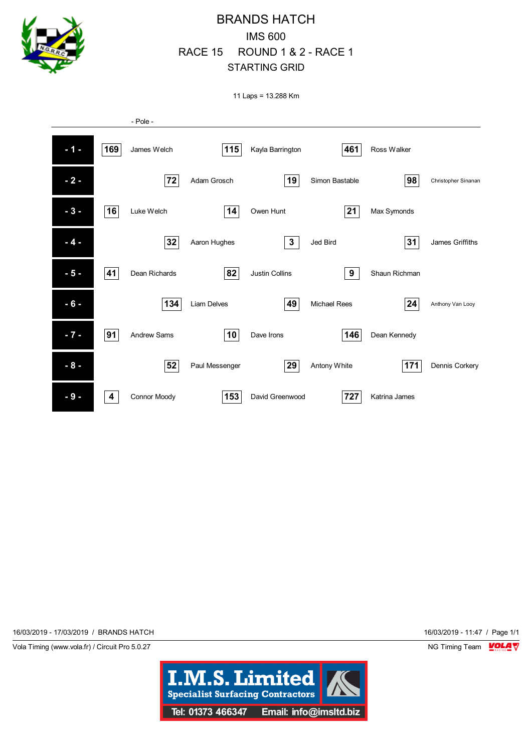

11 Laps = 13.288 Km



16/03/2019 - 17/03/2019 / BRANDS HATCH 16/03/2019 - 11:47 / Page 1/1

Vola Timing (www.vola.fr) / Circuit Pro 5.0.27 NG Timing Team NG Timing Team NG Timing Team NG Timing Team NG

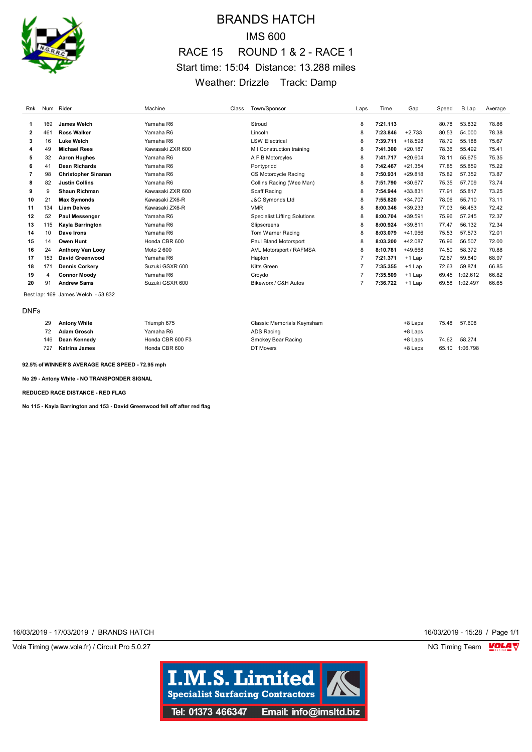

## BRANDS HATCH IMS 600 RACE 15 ROUND 1 & 2 - RACE 1 Start time: 15:04 Distance: 13.288 miles Weather: Drizzle Track: Damp

| Rnk          |     | Num Rider                          | Machine          | Class | Town/Sponsor                        | Laps | Time     | Gap       | Speed | B.Lap    | Average |
|--------------|-----|------------------------------------|------------------|-------|-------------------------------------|------|----------|-----------|-------|----------|---------|
|              |     |                                    |                  |       |                                     |      |          |           |       |          |         |
| 1.           | 169 | James Welch                        | Yamaha R6        |       | Stroud                              | 8    | 7:21.113 |           | 80.78 | 53.832   | 78.86   |
| $\mathbf{2}$ | 461 | <b>Ross Walker</b>                 | Yamaha R6        |       | Lincoln                             | 8    | 7:23.846 | $+2.733$  | 80.53 | 54.000   | 78.38   |
| 3            | 16  | <b>Luke Welch</b>                  | Yamaha R6        |       | <b>LSW Electrical</b>               | 8    | 7:39.711 | $+18.598$ | 78.79 | 55.188   | 75.67   |
| 4            | 49  | <b>Michael Rees</b>                | Kawasaki ZXR 600 |       | M I Construction training           | 8    | 7:41.300 | $+20.187$ | 78.36 | 55.492   | 75.41   |
| 5            | 32  | <b>Aaron Hughes</b>                | Yamaha R6        |       | A F B Motorcyles                    | 8    | 7:41.717 | $+20.604$ | 78.11 | 55.675   | 75.35   |
| 6            | 41  | <b>Dean Richards</b>               | Yamaha R6        |       | Pontypridd                          | 8    | 7:42.467 | $+21.354$ | 77.85 | 55.859   | 75.22   |
| 7            | 98  | <b>Christopher Sinanan</b>         | Yamaha R6        |       | <b>CS Motorcycle Racing</b>         | 8    | 7:50.931 | $+29.818$ | 75.82 | 57.352   | 73.87   |
| 8            | 82  | <b>Justin Collins</b>              | Yamaha R6        |       | Collins Racing (Wee Man)            | 8    | 7:51.790 | $+30.677$ | 75.35 | 57.709   | 73.74   |
| 9            | g   | <b>Shaun Richman</b>               | Kawasaki ZXR 600 |       | Scaff Racing                        | 8    | 7:54.944 | $+33.831$ | 77.91 | 55.817   | 73.25   |
| 10           | 21  | <b>Max Symonds</b>                 | Kawasaki ZX6-R   |       | <b>J&amp;C Symonds Ltd</b>          | 8    | 7:55.820 | $+34.707$ | 78.06 | 55.710   | 73.11   |
| 11           | 134 | <b>Liam Delves</b>                 | Kawasaki ZX6-R   |       | <b>VMR</b>                          | 8    | 8:00.346 | $+39.233$ | 77.03 | 56.453   | 72.42   |
| 12           | 52  | <b>Paul Messenger</b>              | Yamaha R6        |       | <b>Specialist Lifting Solutions</b> | 8    | 8:00.704 | $+39.591$ | 75.96 | 57.245   | 72.37   |
| 13           | 115 | Kayla Barrington                   | Yamaha R6        |       | Slipscreens                         | 8    | 8:00.924 | $+39.811$ | 77.47 | 56.132   | 72.34   |
| 14           | 10  | Dave Irons                         | Yamaha R6        |       | Tom Warner Racing                   | 8    | 8:03.079 | $+41.966$ | 75.53 | 57.573   | 72.01   |
| 15           | 14  | <b>Owen Hunt</b>                   | Honda CBR 600    |       | Paul Bland Motorsport               | 8    | 8:03.200 | $+42.087$ | 76.96 | 56.507   | 72.00   |
| 16           | 24  | <b>Anthony Van Looy</b>            | Moto 2 600       |       | AVL Motorsport / RAFMSA             | 8    | 8:10.781 | +49.668   | 74.50 | 58.372   | 70.88   |
| 17           | 153 | David Greenwood                    | Yamaha R6        |       | Hapton                              | 7    | 7:21.371 | $+1$ Lap  | 72.67 | 59.840   | 68.97   |
| 18           | 171 | <b>Dennis Corkery</b>              | Suzuki GSXR 600  |       | Kitts Green                         |      | 7:35.355 | $+1$ Lap  | 72.63 | 59.874   | 66.85   |
| 19           | 4   | <b>Connor Moody</b>                | Yamaha R6        |       | Croydo                              |      | 7:35.509 | $+1$ Lap  | 69.45 | 1:02.612 | 66.82   |
| 20           | 91  | <b>Andrew Sams</b>                 | Suzuki GSXR 600  |       | Bikeworx / C&H Autos                |      | 7:36.722 | $+1$ Lap  | 69.58 | 1:02.497 | 66.65   |
|              |     | Best lap: 169 James Welch - 53.832 |                  |       |                                     |      |          |           |       |          |         |

DNFs

| 29  | <b>Antony White</b> | Triumph 675      | Classic Memorials Kevnsham | $+8$ Laps | 75.48 | 57.608         |
|-----|---------------------|------------------|----------------------------|-----------|-------|----------------|
| 72  | Adam Grosch         | Yamaha R6        | ADS Racing                 | +8 Laps   |       |                |
| 146 | Dean Kennedv        | Honda CBR 600 F3 | Smokey Bear Racing         | $+8$ Laps | 74.62 | 58.274         |
| 727 | Katrina James       | Honda CBR 600    | DT Movers                  | $+8$ Laps |       | 65.10 1:06.798 |

**92.5% of WINNER'S AVERAGE RACE SPEED - 72.95 mph**

**No 29 - Antony White - NO TRANSPONDER SIGNAL**

**REDUCED RACE DISTANCE - RED FLAG**

**No 115 - Kayla Barrington and 153 - David Greenwood fell off after red flag**

16/03/2019 - 17/03/2019 / BRANDS HATCH 16/03/2019 - 15:28 / Page 1/1

Vola Timing (www.vola.fr) / Circuit Pro 5.0.27 **NG Timing Team Monet Constructs** NG Timing Team Monet Constructs

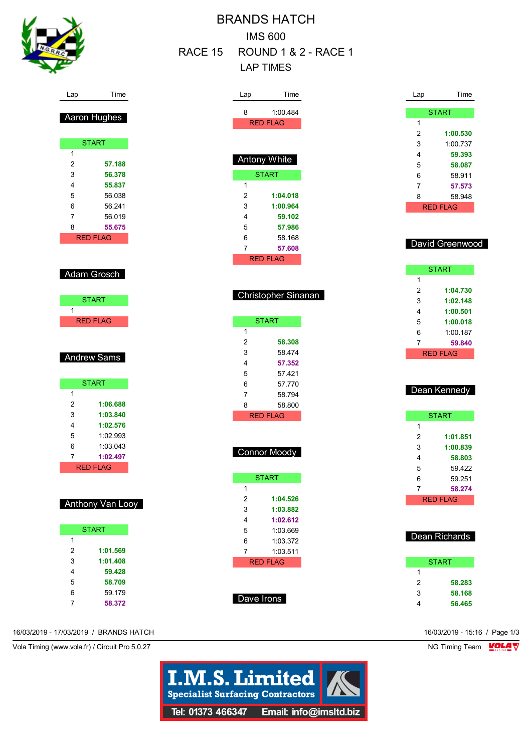

| <b>BRANDS HATCH</b>          |  |
|------------------------------|--|
| <b>IMS 600</b>               |  |
| RACE 15 ROUND 1 & 2 - RACE 1 |  |
| I AP TIMFS                   |  |

| 8<br>1:00.484<br>Aaron Hughes<br><b>RED FLAG</b><br><b>START</b><br>Antony White<br>57.188<br><b>START</b><br>56.378<br>1<br>55.837<br>2<br>56.038<br>1:04.018<br>3<br>56.241<br>1:00.964<br>4<br>56.019<br>59.102<br>5<br>57.986<br>55.675<br><b>RED FLAG</b><br>6<br>58.168<br>7<br>57.608<br><b>RED FLAG</b><br>Adam Grosch<br>Christopher Sinanan<br><b>START</b><br><b>RED FLAG</b><br><b>START</b><br>1<br>2<br>58.308<br>3<br>58.474<br><b>Andrew Sams</b><br>4<br>57.352<br>5<br>57.421<br><b>START</b><br>6<br>57.770<br>7<br>58.794<br>1:06.688<br>8<br>58.800<br>1:03.840<br><b>RED FLAG</b><br>1:02.576<br>1:02.993<br>1:03.043<br><b>Connor Moody</b><br>1:02.497<br><b>RED FLAG</b><br><b>START</b><br>1 |
|------------------------------------------------------------------------------------------------------------------------------------------------------------------------------------------------------------------------------------------------------------------------------------------------------------------------------------------------------------------------------------------------------------------------------------------------------------------------------------------------------------------------------------------------------------------------------------------------------------------------------------------------------------------------------------------------------------------------|
|                                                                                                                                                                                                                                                                                                                                                                                                                                                                                                                                                                                                                                                                                                                        |
|                                                                                                                                                                                                                                                                                                                                                                                                                                                                                                                                                                                                                                                                                                                        |
|                                                                                                                                                                                                                                                                                                                                                                                                                                                                                                                                                                                                                                                                                                                        |
|                                                                                                                                                                                                                                                                                                                                                                                                                                                                                                                                                                                                                                                                                                                        |
|                                                                                                                                                                                                                                                                                                                                                                                                                                                                                                                                                                                                                                                                                                                        |
|                                                                                                                                                                                                                                                                                                                                                                                                                                                                                                                                                                                                                                                                                                                        |
|                                                                                                                                                                                                                                                                                                                                                                                                                                                                                                                                                                                                                                                                                                                        |
|                                                                                                                                                                                                                                                                                                                                                                                                                                                                                                                                                                                                                                                                                                                        |
|                                                                                                                                                                                                                                                                                                                                                                                                                                                                                                                                                                                                                                                                                                                        |
|                                                                                                                                                                                                                                                                                                                                                                                                                                                                                                                                                                                                                                                                                                                        |
|                                                                                                                                                                                                                                                                                                                                                                                                                                                                                                                                                                                                                                                                                                                        |
|                                                                                                                                                                                                                                                                                                                                                                                                                                                                                                                                                                                                                                                                                                                        |
|                                                                                                                                                                                                                                                                                                                                                                                                                                                                                                                                                                                                                                                                                                                        |
|                                                                                                                                                                                                                                                                                                                                                                                                                                                                                                                                                                                                                                                                                                                        |
|                                                                                                                                                                                                                                                                                                                                                                                                                                                                                                                                                                                                                                                                                                                        |
|                                                                                                                                                                                                                                                                                                                                                                                                                                                                                                                                                                                                                                                                                                                        |
|                                                                                                                                                                                                                                                                                                                                                                                                                                                                                                                                                                                                                                                                                                                        |
|                                                                                                                                                                                                                                                                                                                                                                                                                                                                                                                                                                                                                                                                                                                        |
|                                                                                                                                                                                                                                                                                                                                                                                                                                                                                                                                                                                                                                                                                                                        |
|                                                                                                                                                                                                                                                                                                                                                                                                                                                                                                                                                                                                                                                                                                                        |
|                                                                                                                                                                                                                                                                                                                                                                                                                                                                                                                                                                                                                                                                                                                        |
|                                                                                                                                                                                                                                                                                                                                                                                                                                                                                                                                                                                                                                                                                                                        |
|                                                                                                                                                                                                                                                                                                                                                                                                                                                                                                                                                                                                                                                                                                                        |
|                                                                                                                                                                                                                                                                                                                                                                                                                                                                                                                                                                                                                                                                                                                        |
|                                                                                                                                                                                                                                                                                                                                                                                                                                                                                                                                                                                                                                                                                                                        |
|                                                                                                                                                                                                                                                                                                                                                                                                                                                                                                                                                                                                                                                                                                                        |
|                                                                                                                                                                                                                                                                                                                                                                                                                                                                                                                                                                                                                                                                                                                        |
|                                                                                                                                                                                                                                                                                                                                                                                                                                                                                                                                                                                                                                                                                                                        |
|                                                                                                                                                                                                                                                                                                                                                                                                                                                                                                                                                                                                                                                                                                                        |
|                                                                                                                                                                                                                                                                                                                                                                                                                                                                                                                                                                                                                                                                                                                        |
|                                                                                                                                                                                                                                                                                                                                                                                                                                                                                                                                                                                                                                                                                                                        |
|                                                                                                                                                                                                                                                                                                                                                                                                                                                                                                                                                                                                                                                                                                                        |
|                                                                                                                                                                                                                                                                                                                                                                                                                                                                                                                                                                                                                                                                                                                        |
| $\overline{2}$<br>1:04.526<br>Anthony Van Looy                                                                                                                                                                                                                                                                                                                                                                                                                                                                                                                                                                                                                                                                         |
| 3<br>1:03.882                                                                                                                                                                                                                                                                                                                                                                                                                                                                                                                                                                                                                                                                                                          |
| 4<br>1:02.612<br><b>START</b>                                                                                                                                                                                                                                                                                                                                                                                                                                                                                                                                                                                                                                                                                          |
| 5<br>1:03.669<br>6<br>1:03.372                                                                                                                                                                                                                                                                                                                                                                                                                                                                                                                                                                                                                                                                                         |
| 1:01.569<br>7<br>1:03.511                                                                                                                                                                                                                                                                                                                                                                                                                                                                                                                                                                                                                                                                                              |
|                                                                                                                                                                                                                                                                                                                                                                                                                                                                                                                                                                                                                                                                                                                        |
|                                                                                                                                                                                                                                                                                                                                                                                                                                                                                                                                                                                                                                                                                                                        |
| 1:01.408<br><b>RED FLAG</b><br>59.428                                                                                                                                                                                                                                                                                                                                                                                                                                                                                                                                                                                                                                                                                  |
| 58.709                                                                                                                                                                                                                                                                                                                                                                                                                                                                                                                                                                                                                                                                                                                 |
| 59.179<br>Dave Irons                                                                                                                                                                                                                                                                                                                                                                                                                                                                                                                                                                                                                                                                                                   |

| Lap | Time            |  |  |  |  |  |  |
|-----|-----------------|--|--|--|--|--|--|
|     | <b>START</b>    |  |  |  |  |  |  |
| 1   |                 |  |  |  |  |  |  |
| 2   | 1:00.530        |  |  |  |  |  |  |
| 3   | 1:00.737        |  |  |  |  |  |  |
| 4   | 59.393          |  |  |  |  |  |  |
| 5   | 58.087          |  |  |  |  |  |  |
| 6   | 58 911          |  |  |  |  |  |  |
| 7   | 57.573          |  |  |  |  |  |  |
| 8   | 58.948          |  |  |  |  |  |  |
|     | <b>RED FLAG</b> |  |  |  |  |  |  |

### David Greenwood

| <b>START</b> |                 |  |  |  |  |  |  |  |  |
|--------------|-----------------|--|--|--|--|--|--|--|--|
| 1            |                 |  |  |  |  |  |  |  |  |
| 2            | 1:04.730        |  |  |  |  |  |  |  |  |
| 3            | 1:02.148        |  |  |  |  |  |  |  |  |
| 4            | 1:00.501        |  |  |  |  |  |  |  |  |
| 5            | 1:00.018        |  |  |  |  |  |  |  |  |
| 6            | 1:00.187        |  |  |  |  |  |  |  |  |
| 7            | 59.840          |  |  |  |  |  |  |  |  |
|              | <b>RED FLAG</b> |  |  |  |  |  |  |  |  |

#### Dean Kennedy

|   | <b>START</b> |
|---|--------------|
| 1 |              |
| 2 | 1:01.851     |
| 3 | 1:00.839     |
| 4 | 58.803       |
| 5 | 59422        |
| 6 | 59 251       |
| 7 | 58.274       |
|   | RFD FI AG    |
|   |              |

### Dean Richards

|   | <b>START</b> |
|---|--------------|
| 1 |              |
| 2 | 58.283       |
| 3 | 58.168       |
|   | 56.465       |

16/03/2019 - 17/03/2019 / BRANDS HATCH 16/03/2019 - 15:16 / Page 1/3

Vola Timing (www.vola.fr) / Circuit Pro 5.0.27 NG Timing Team NG Timing Team NG Timing Team NG Timing Team NG

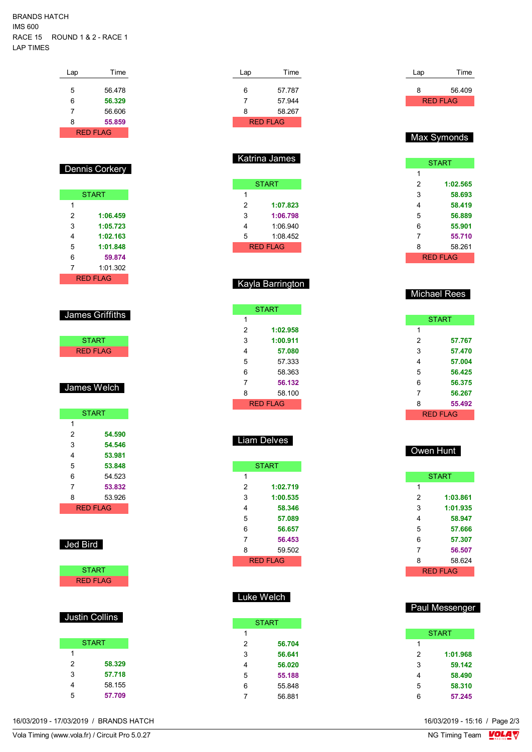#### BRANDS HATCH IMS 600 RACE 15 ROUND 1 & 2 - RACE 1 LAP TIMES

| Lap | Time                  |  | Lap            | Time                 |
|-----|-----------------------|--|----------------|----------------------|
| 5   |                       |  |                |                      |
| 6   | 56.478                |  | 6              | 57.787               |
|     | 56.329                |  | 7              | 57.944               |
|     | 56.606                |  | 8              | 58.267               |
|     | 55.859                |  |                | <b>RED FLAG</b>      |
|     | <b>RED FLAG</b>       |  |                |                      |
|     |                       |  |                | <b>Katrina James</b> |
|     | <b>Dennis Corkery</b> |  |                |                      |
|     |                       |  |                | <b>START</b>         |
|     | <b>START</b>          |  | 1              |                      |
|     |                       |  | $\overline{2}$ | 1:07.823             |
|     | 1:06.459              |  | 3              | 1:06.798             |
|     | 1:05.723              |  | 4              | 1:06.940             |
|     | 1:02.163              |  | 5              | 1:08.452             |
|     | 1:01.848              |  |                | <b>RED FLAG</b>      |
|     | 59.874                |  |                |                      |
|     | 1:01.302              |  |                |                      |
|     | <b>RED FLAG</b>       |  |                | Kayla Barrington     |
|     |                       |  |                |                      |
|     |                       |  |                | <b>START</b>         |
|     | James Griffiths       |  | 1              |                      |
|     |                       |  | $\overline{2}$ | 1:02.958             |
|     | <b>START</b>          |  | 3              | 1:00.911             |
|     | <b>RED FLAG</b>       |  | 4              | 57.080               |
|     |                       |  | 5              | 57.333               |
|     |                       |  | 6              | 58.363               |
|     |                       |  | 7              | 56.132               |
|     | James Welch           |  | 8              | 58.100               |
|     |                       |  |                | <b>RED FLAG</b>      |
|     | <b>START</b>          |  |                |                      |
|     | 54.590                |  |                |                      |
|     | 54.546                |  |                | Liam Delves          |
|     | 53.981                |  |                |                      |
|     | 53.848                |  |                | <b>START</b>         |
|     | 54.523                |  | 1              |                      |
|     | 53.832                |  | $\overline{c}$ | 1:02.719             |
|     | 53.926                |  | 3              | 1:00.535             |
|     | <b>RED FLAG</b>       |  | 4              | 58.346               |
|     |                       |  | 5              | 57.089               |
|     |                       |  | 6              | 56.657               |
|     |                       |  | 7              | 56.453               |
|     | Jed Bird              |  | 8              | 59.502               |
|     |                       |  |                | <b>RED FLAG</b>      |
|     | <b>START</b>          |  |                |                      |
|     | <b>RED FLAG</b>       |  |                |                      |
|     |                       |  |                | Luke Welch           |
|     |                       |  |                |                      |
|     | <b>Justin Collins</b> |  |                | <b>START</b>         |
|     |                       |  | $\mathbf{1}$   |                      |
|     | <b>START</b>          |  | $\overline{2}$ | 56.704               |
|     |                       |  | 3              | 56.641               |
|     | 58.329                |  | 4              | 56.020               |
|     | 57.718                |  | 5              | 55.188               |
|     | 58.155                |  | 6              | 55.848               |

56.881

**START 57.767 57.470 57.004 56.425 56.375 56.267 55.492** RED FLAG Owen Hunt **START** 

Lap Time 56.409 RED FLAG

Max Symonds

 $\overline{1}$ 

**START** 

 **1:02.565 58.693 58.419 56.889 55.901 55.710** 58.261 RED FLAG

Michael Rees

| 2        | 1:03.861 |  |  |  |  |  |  |
|----------|----------|--|--|--|--|--|--|
| 3        | 1:01.935 |  |  |  |  |  |  |
| 4        | 58.947   |  |  |  |  |  |  |
| 5        | 57.666   |  |  |  |  |  |  |
| 6        | 57.307   |  |  |  |  |  |  |
| 7        | 56.507   |  |  |  |  |  |  |
| 8        | 58.624   |  |  |  |  |  |  |
| RED FLAG |          |  |  |  |  |  |  |

#### **START 1:01.968 59.142 58.490 58.310 57.245**

Paul Messenger

16/03/2019 - 17/03/2019 / BRANDS HATCH

**57.709**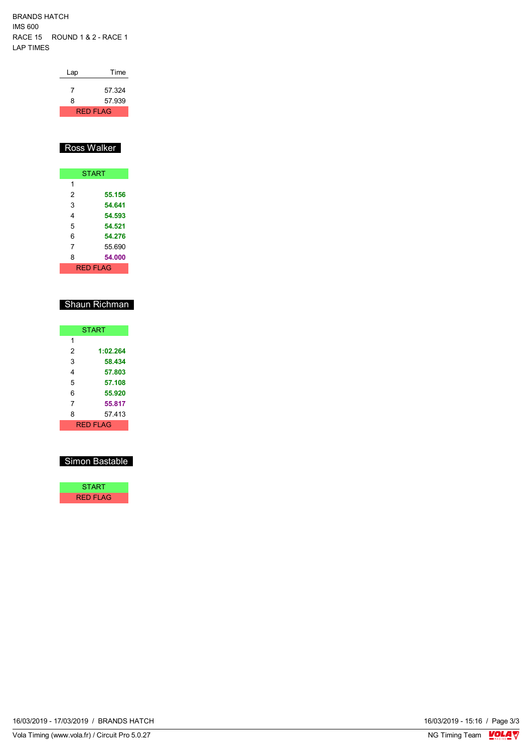BRANDS HATCH IMS 600 RACE 15 ROUND 1 & 2 - RACE 1 LAP TIMES

| Lap | Time            |
|-----|-----------------|
|     | 57.324          |
| 8   | 57.939          |
|     | <b>RED FLAG</b> |

### Ross Walker

|   | <b>START</b> |
|---|--------------|
| 1 |              |
| 2 | 55.156       |
| 3 | 54.641       |
| 4 | 54.593       |
| 5 | 54.521       |
| 6 | 54.276       |
| 7 | 55.690       |
| 8 | 54.000       |
|   | RFD FI AG    |

### Shaun Richman

|   | <b>START</b> |
|---|--------------|
| 1 |              |
| 2 | 1:02.264     |
| 3 | 58.434       |
| 4 | 57.803       |
| 5 | 57.108       |
| 6 | 55.920       |
| 7 | 55.817       |
| 8 | 57.413       |
|   | RFD FI AG    |

#### Simon Bastable



16/03/2019 - 17/03/2019 / BRANDS HATCH

16/03/2019 - 15:16 / Page 3/3<br>NG Timing Team  $\frac{\text{VOLA}}{\text{V}}$